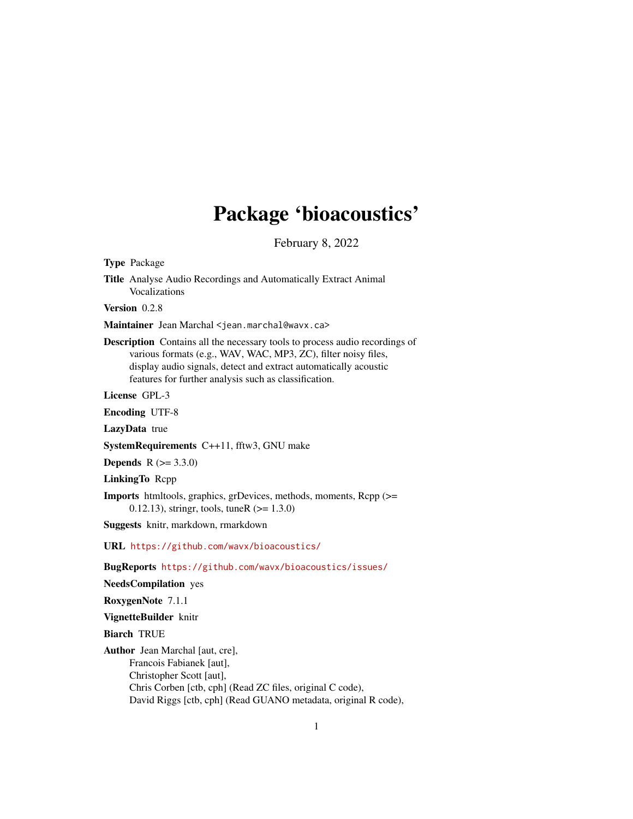# Package 'bioacoustics'

February 8, 2022

<span id="page-0-0"></span>Type Package

Title Analyse Audio Recordings and Automatically Extract Animal Vocalizations

Version 0.2.8

Maintainer Jean Marchal <jean.marchal@wavx.ca>

Description Contains all the necessary tools to process audio recordings of various formats (e.g., WAV, WAC, MP3, ZC), filter noisy files, display audio signals, detect and extract automatically acoustic features for further analysis such as classification.

License GPL-3

Encoding UTF-8

LazyData true

SystemRequirements C++11, fftw3, GNU make

**Depends** R  $(>= 3.3.0)$ 

LinkingTo Rcpp

Imports htmltools, graphics, grDevices, methods, moments, Rcpp (>= 0.12.13), stringr, tools, tuneR  $(>= 1.3.0)$ 

Suggests knitr, markdown, rmarkdown

URL <https://github.com/wavx/bioacoustics/>

BugReports <https://github.com/wavx/bioacoustics/issues/>

NeedsCompilation yes

RoxygenNote 7.1.1

VignetteBuilder knitr

Biarch TRUE

Author Jean Marchal [aut, cre], Francois Fabianek [aut], Christopher Scott [aut], Chris Corben [ctb, cph] (Read ZC files, original C code), David Riggs [ctb, cph] (Read GUANO metadata, original R code),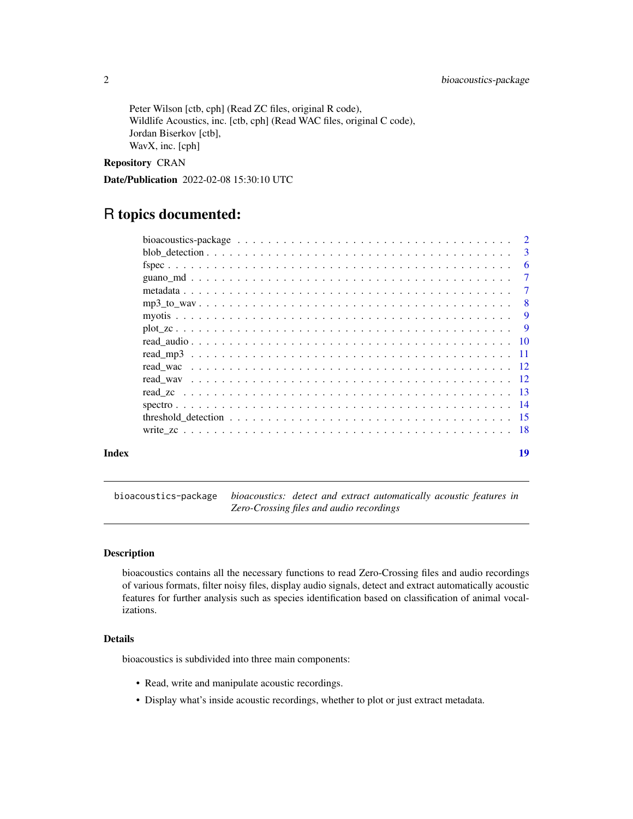<span id="page-1-0"></span>Peter Wilson [ctb, cph] (Read ZC files, original R code), Wildlife Acoustics, inc. [ctb, cph] (Read WAC files, original C code), Jordan Biserkov [ctb], WavX, inc. [cph]

Repository CRAN

Date/Publication 2022-02-08 15:30:10 UTC

# R topics documented:

|       | bioacoustics-package $\ldots \ldots \ldots \ldots \ldots \ldots \ldots \ldots \ldots \ldots \ldots \ldots$ |                          |
|-------|------------------------------------------------------------------------------------------------------------|--------------------------|
|       |                                                                                                            | $\overline{\phantom{a}}$ |
|       |                                                                                                            | - 6                      |
|       |                                                                                                            |                          |
|       |                                                                                                            |                          |
|       |                                                                                                            |                          |
|       |                                                                                                            |                          |
|       |                                                                                                            |                          |
|       |                                                                                                            |                          |
|       |                                                                                                            |                          |
|       |                                                                                                            |                          |
|       |                                                                                                            |                          |
|       |                                                                                                            |                          |
|       |                                                                                                            |                          |
|       |                                                                                                            |                          |
|       |                                                                                                            |                          |
| Index |                                                                                                            | 19                       |

bioacoustics-package *bioacoustics: detect and extract automatically acoustic features in Zero-Crossing files and audio recordings*

# Description

bioacoustics contains all the necessary functions to read Zero-Crossing files and audio recordings of various formats, filter noisy files, display audio signals, detect and extract automatically acoustic features for further analysis such as species identification based on classification of animal vocalizations.

# Details

bioacoustics is subdivided into three main components:

- Read, write and manipulate acoustic recordings.
- Display what's inside acoustic recordings, whether to plot or just extract metadata.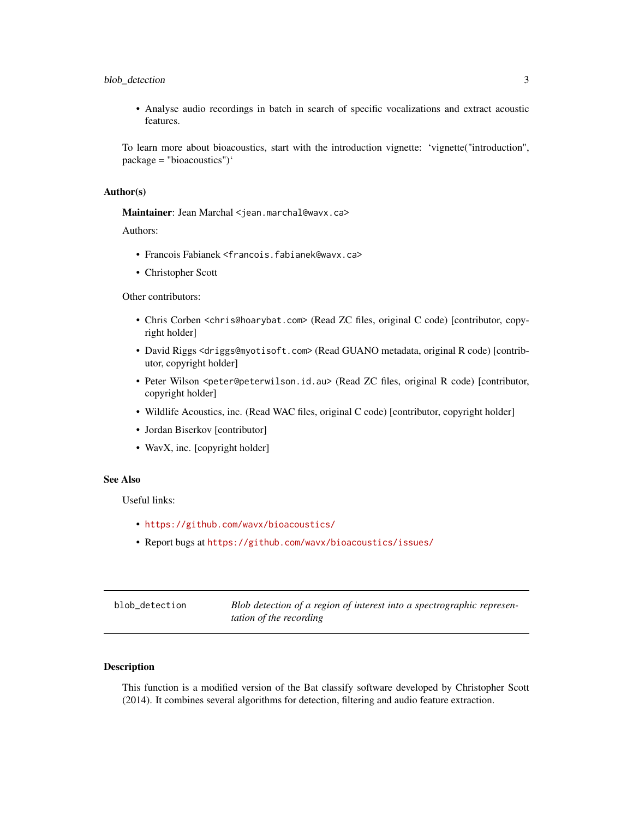# <span id="page-2-0"></span>blob\_detection 3

• Analyse audio recordings in batch in search of specific vocalizations and extract acoustic features.

To learn more about bioacoustics, start with the introduction vignette: 'vignette("introduction", package = "bioacoustics")'

#### Author(s)

Maintainer: Jean Marchal <jean.marchal@wavx.ca>

Authors:

- Francois Fabianek <francois.fabianek@wavx.ca>
- Christopher Scott

Other contributors:

- Chris Corben <chris@hoarybat.com> (Read ZC files, original C code) [contributor, copyright holder]
- David Riggs <driggs@myotisoft.com> (Read GUANO metadata, original R code) [contributor, copyright holder]
- Peter Wilson <peter@peterwilson.id.au> (Read ZC files, original R code) [contributor, copyright holder]
- Wildlife Acoustics, inc. (Read WAC files, original C code) [contributor, copyright holder]
- Jordan Biserkov [contributor]
- WavX, inc. [copyright holder]

#### See Also

Useful links:

- <https://github.com/wavx/bioacoustics/>
- Report bugs at <https://github.com/wavx/bioacoustics/issues/>

| blob detection | Blob detection of a region of interest into a spectrographic represen- |
|----------------|------------------------------------------------------------------------|
|                | <i>tation of the recording</i>                                         |

# Description

This function is a modified version of the Bat classify software developed by Christopher Scott (2014). It combines several algorithms for detection, filtering and audio feature extraction.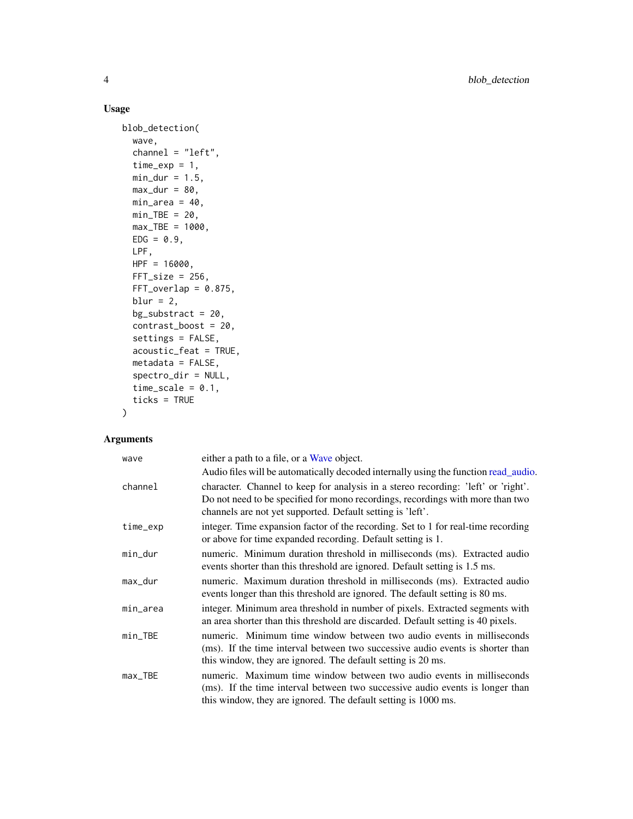# Usage

```
blob_detection(
 wave,
  channel = "left",
  time\_exp = 1,
 min\_dur = 1.5,
 max_dur = 80,
 min\_area = 40,
 min_TBE = 20,
 max_TBE = 1000,EDG = 0.9,
 LPF,
 HPF = 16000,FFT\_size = 256,
 FFT_overlap = 0.875,
 blur = 2,
 bg\_substract = 20,
  contrast_boost = 20,
  settings = FALSE,
  acoustic_feat = TRUE,
 metadata = FALSE,spectro_dir = NULL,
  time_scale = 0.1,
  ticks = TRUE
)
```

| wave       | either a path to a file, or a Wave object.                                                                                                                                                                                        |
|------------|-----------------------------------------------------------------------------------------------------------------------------------------------------------------------------------------------------------------------------------|
|            | Audio files will be automatically decoded internally using the function read_audio.                                                                                                                                               |
| channel    | character. Channel to keep for analysis in a stereo recording: 'left' or 'right'.<br>Do not need to be specified for mono recordings, recordings with more than two<br>channels are not yet supported. Default setting is 'left'. |
| time_exp   | integer. Time expansion factor of the recording. Set to 1 for real-time recording<br>or above for time expanded recording. Default setting is 1.                                                                                  |
| min_dur    | numeric. Minimum duration threshold in milliseconds (ms). Extracted audio<br>events shorter than this threshold are ignored. Default setting is 1.5 ms.                                                                           |
| max_dur    | numeric. Maximum duration threshold in milliseconds (ms). Extracted audio<br>events longer than this threshold are ignored. The default setting is 80 ms.                                                                         |
| min_area   | integer. Minimum area threshold in number of pixels. Extracted segments with<br>an area shorter than this threshold are discarded. Default setting is 40 pixels.                                                                  |
| $min\_TBE$ | numeric. Minimum time window between two audio events in milliseconds<br>(ms). If the time interval between two successive audio events is shorter than<br>this window, they are ignored. The default setting is 20 ms.           |
| $max_TBE$  | numeric. Maximum time window between two audio events in milliseconds<br>(ms). If the time interval between two successive audio events is longer than<br>this window, they are ignored. The default setting is 1000 ms.          |

<span id="page-3-0"></span>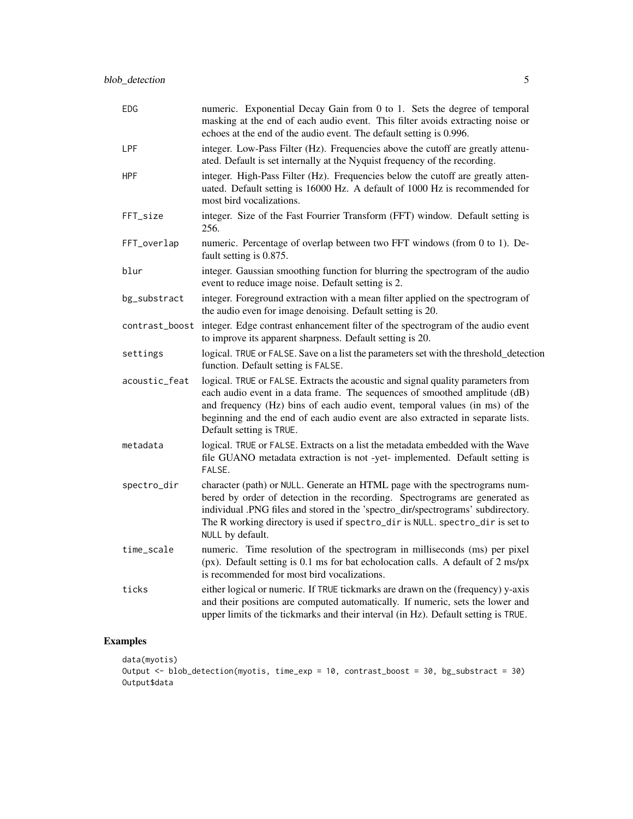| <b>EDG</b>    | numeric. Exponential Decay Gain from 0 to 1. Sets the degree of temporal<br>masking at the end of each audio event. This filter avoids extracting noise or<br>echoes at the end of the audio event. The default setting is 0.996.                                                                                                                            |
|---------------|--------------------------------------------------------------------------------------------------------------------------------------------------------------------------------------------------------------------------------------------------------------------------------------------------------------------------------------------------------------|
| <b>LPF</b>    | integer. Low-Pass Filter (Hz). Frequencies above the cutoff are greatly attenu-<br>ated. Default is set internally at the Nyquist frequency of the recording.                                                                                                                                                                                                |
| <b>HPF</b>    | integer. High-Pass Filter (Hz). Frequencies below the cutoff are greatly atten-<br>uated. Default setting is 16000 Hz. A default of 1000 Hz is recommended for<br>most bird vocalizations.                                                                                                                                                                   |
| FFT_size      | integer. Size of the Fast Fourrier Transform (FFT) window. Default setting is<br>256.                                                                                                                                                                                                                                                                        |
| FFT_overlap   | numeric. Percentage of overlap between two FFT windows (from 0 to 1). De-<br>fault setting is 0.875.                                                                                                                                                                                                                                                         |
| blur          | integer. Gaussian smoothing function for blurring the spectrogram of the audio<br>event to reduce image noise. Default setting is 2.                                                                                                                                                                                                                         |
| bg_substract  | integer. Foreground extraction with a mean filter applied on the spectrogram of<br>the audio even for image denoising. Default setting is 20.                                                                                                                                                                                                                |
|               | contrast_boost integer. Edge contrast enhancement filter of the spectrogram of the audio event<br>to improve its apparent sharpness. Default setting is 20.                                                                                                                                                                                                  |
| settings      | logical. TRUE or FALSE. Save on a list the parameters set with the threshold_detection<br>function. Default setting is FALSE.                                                                                                                                                                                                                                |
| acoustic_feat | logical. TRUE or FALSE. Extracts the acoustic and signal quality parameters from<br>each audio event in a data frame. The sequences of smoothed amplitude (dB)<br>and frequency (Hz) bins of each audio event, temporal values (in ms) of the<br>beginning and the end of each audio event are also extracted in separate lists.<br>Default setting is TRUE. |
| metadata      | logical. TRUE or FALSE. Extracts on a list the metadata embedded with the Wave<br>file GUANO metadata extraction is not -yet- implemented. Default setting is<br>FALSE.                                                                                                                                                                                      |
| spectro_dir   | character (path) or NULL. Generate an HTML page with the spectrograms num-<br>bered by order of detection in the recording. Spectrograms are generated as<br>individual .PNG files and stored in the 'spectro_dir/spectrograms' subdirectory.<br>The R working directory is used if spectro_dir is NULL. spectro_dir is set to<br>NULL by default.           |
| time_scale    | numeric. Time resolution of the spectrogram in milliseconds (ms) per pixel<br>( $px$ ). Default setting is 0.1 ms for bat echolocation calls. A default of 2 ms/ $px$<br>is recommended for most bird vocalizations.                                                                                                                                         |
| ticks         | either logical or numeric. If TRUE tickmarks are drawn on the (frequency) y-axis<br>and their positions are computed automatically. If numeric, sets the lower and<br>upper limits of the tickmarks and their interval (in Hz). Default setting is TRUE.                                                                                                     |

# Examples

```
data(myotis)
Output <- blob_detection(myotis, time_exp = 10, contrast_boost = 30, bg_substract = 30)
Output$data
```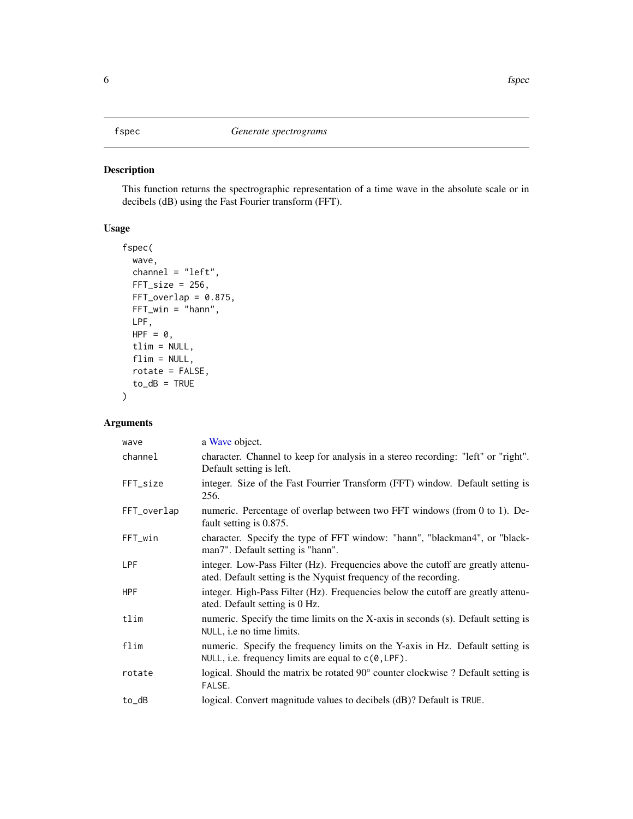<span id="page-5-0"></span>This function returns the spectrographic representation of a time wave in the absolute scale or in decibels (dB) using the Fast Fourier transform (FFT).

# Usage

```
fspec(
 wave,
  channel = "left",
 FFT\_size = 256,
 FFT_overlap = 0.875,FFT_win = "hann",
 LPF,
 HPF = 0,
  tlim = NULL,
  flim = NULL,rotate = FALSE,
  to_dB = TRUE)
```

| wave        | a Wave object.                                                                                                                                      |
|-------------|-----------------------------------------------------------------------------------------------------------------------------------------------------|
| channel     | character. Channel to keep for analysis in a stereo recording: "left" or "right".<br>Default setting is left.                                       |
| FFT_size    | integer. Size of the Fast Fourrier Transform (FFT) window. Default setting is<br>256.                                                               |
| FFT_overlap | numeric. Percentage of overlap between two FFT windows (from 0 to 1). De-<br>fault setting is 0.875.                                                |
| FFT_win     | character. Specify the type of FFT window: "hann", "blackman4", or "black-<br>man7". Default setting is "hann".                                     |
| <b>LPF</b>  | integer. Low-Pass Filter (Hz). Frequencies above the cutoff are greatly attenu-<br>ated. Default setting is the Nyquist frequency of the recording. |
| <b>HPF</b>  | integer. High-Pass Filter (Hz). Frequencies below the cutoff are greatly attenu-<br>ated. Default setting is 0 Hz.                                  |
| tlim        | numeric. Specify the time limits on the X-axis in seconds (s). Default setting is<br>NULL, <i>i.e</i> no time limits.                               |
| flim        | numeric. Specify the frequency limits on the Y-axis in Hz. Default setting is<br>NULL, i.e. frequency limits are equal to $c(0, LPF)$ .             |
| rotate      | logical. Should the matrix be rotated 90° counter clockwise ? Default setting is<br>FALSE.                                                          |
| to_dB       | logical. Convert magnitude values to decibels (dB)? Default is TRUE.                                                                                |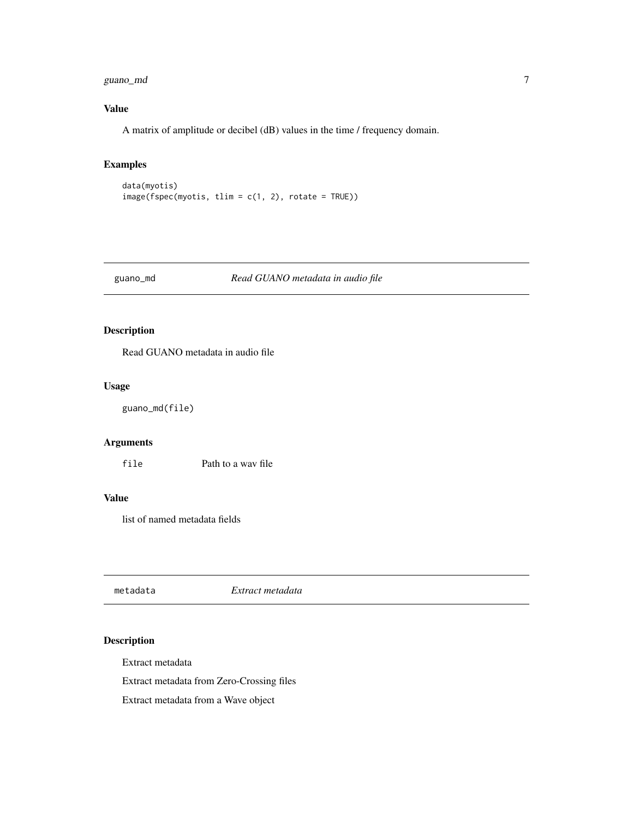<span id="page-6-0"></span>guano\_md 7

# Value

A matrix of amplitude or decibel (dB) values in the time / frequency domain.

# Examples

```
data(myotis)
image(fspec(myotis, tlim = c(1, 2), rotate = TRUE))
```
# guano\_md *Read GUANO metadata in audio file*

# Description

Read GUANO metadata in audio file

#### Usage

guano\_md(file)

# Arguments

file Path to a wav file

#### Value

list of named metadata fields

metadata *Extract metadata*

# Description

Extract metadata

Extract metadata from Zero-Crossing files

Extract metadata from a Wave object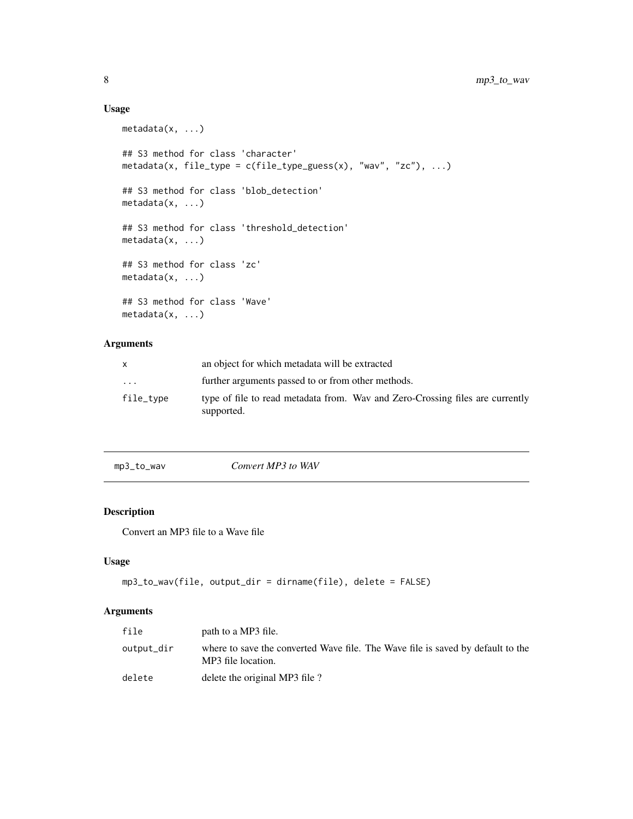# Usage

```
metadata(x, ...)
## S3 method for class 'character'
metadata(x, file_type = c(file_type_guess(x), "wav", "zc"), ...)## S3 method for class 'blob_detection'
metadata(x, ...)
## S3 method for class 'threshold_detection'
metadata(x, ...)
## S3 method for class 'zc'
metadata(x, ...)
## S3 method for class 'Wave'
metadata(x, \ldots)
```
# Arguments

| X.        | an object for which metadata will be extracted                                              |
|-----------|---------------------------------------------------------------------------------------------|
| $\ddotsc$ | further arguments passed to or from other methods.                                          |
| file_type | type of file to read metadata from. Wav and Zero-Crossing files are currently<br>supported. |

| Convert MP3 to WAV<br>mp3_to_wav |
|----------------------------------|
|----------------------------------|

# Description

Convert an MP3 file to a Wave file

# Usage

```
mp3_to_wav(file, output_dir = dirname(file), delete = FALSE)
```

| file       | path to a MP3 file.                                                                                   |
|------------|-------------------------------------------------------------------------------------------------------|
| output_dir | where to save the converted Wave file. The Wave file is saved by default to the<br>MP3 file location. |
| delete     | delete the original MP3 file ?                                                                        |

<span id="page-7-0"></span>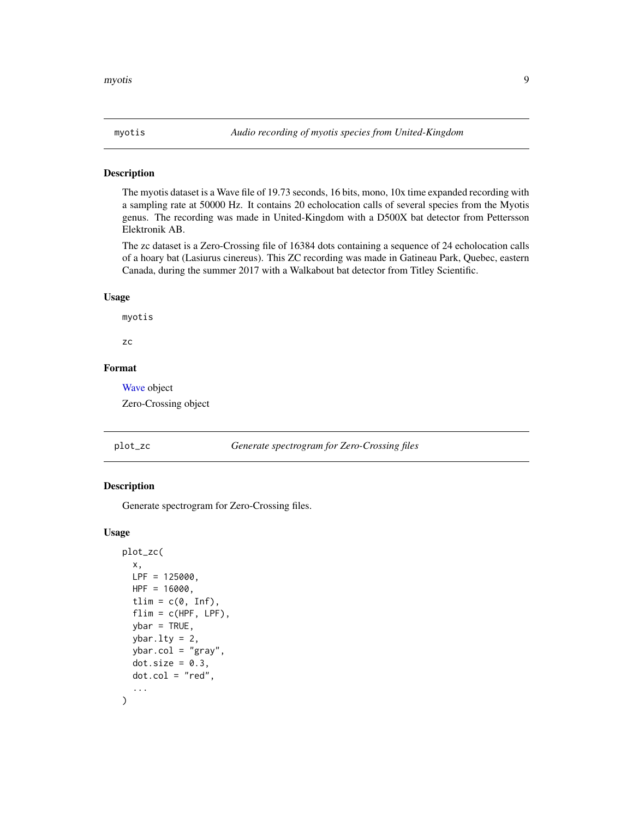<span id="page-8-0"></span>The myotis dataset is a Wave file of 19.73 seconds, 16 bits, mono, 10x time expanded recording with a sampling rate at 50000 Hz. It contains 20 echolocation calls of several species from the Myotis genus. The recording was made in United-Kingdom with a D500X bat detector from Pettersson Elektronik AB.

The zc dataset is a Zero-Crossing file of 16384 dots containing a sequence of 24 echolocation calls of a hoary bat (Lasiurus cinereus). This ZC recording was made in Gatineau Park, Quebec, eastern Canada, during the summer 2017 with a Walkabout bat detector from Titley Scientific.

#### Usage

myotis

zc

#### Format

[Wave](#page-0-0) object

Zero-Crossing object

#### plot\_zc *Generate spectrogram for Zero-Crossing files*

#### Description

Generate spectrogram for Zero-Crossing files.

#### Usage

```
plot_zc(
  x,
 LPF = 125000,HPF = 16000,
  tlim = c(0, Inf),
  flim = c(HPF, LPF),ybar = TRUE,ybar.1ty = 2,
  ybar.col = "gray",dot.size = 0.3,
  dot.col = "red",
  ...
)
```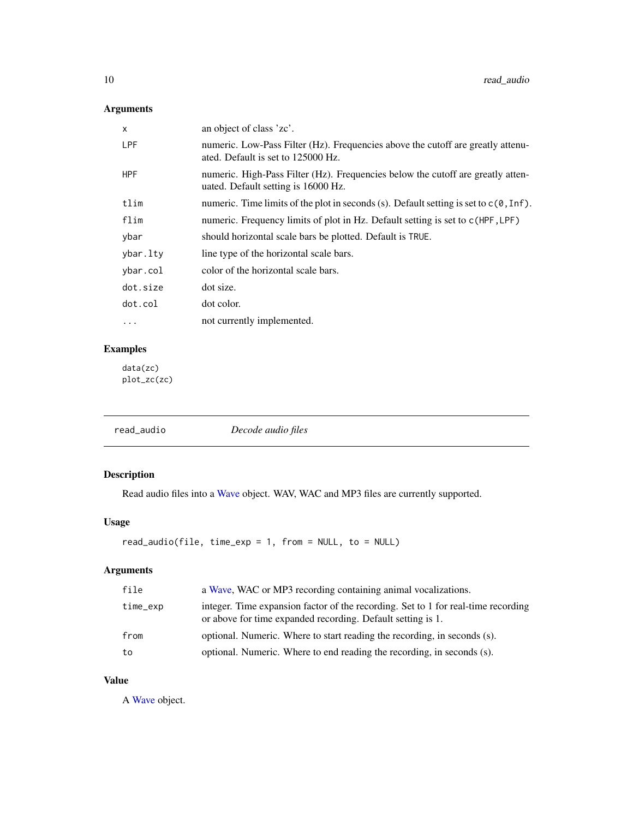# <span id="page-9-0"></span>Arguments

| X          | an object of class 'zc'.                                                                                               |
|------------|------------------------------------------------------------------------------------------------------------------------|
| <b>LPF</b> | numeric. Low-Pass Filter (Hz). Frequencies above the cutoff are greatly attenu-<br>ated. Default is set to 125000 Hz.  |
| <b>HPF</b> | numeric. High-Pass Filter (Hz). Frequencies below the cutoff are greatly atten-<br>uated. Default setting is 16000 Hz. |
| tlim       | numeric. Time limits of the plot in seconds (s). Default setting is set to $c(0, \text{Inf})$ .                        |
| flim       | numeric. Frequency limits of plot in Hz. Default setting is set to $c$ (HPF, LPF)                                      |
| ybar       | should horizontal scale bars be plotted. Default is TRUE.                                                              |
| ybar.lty   | line type of the horizontal scale bars.                                                                                |
| ybar.col   | color of the horizontal scale bars.                                                                                    |
| dot.size   | dot size.                                                                                                              |
| dot.col    | dot color.                                                                                                             |
| .          | not currently implemented.                                                                                             |
|            |                                                                                                                        |

# Examples

data(zc) plot\_zc(zc)

<span id="page-9-1"></span>

| read_audio | Decode audio files |  |
|------------|--------------------|--|
|            |                    |  |

# Description

Read audio files into a [Wave](#page-0-0) object. WAV, WAC and MP3 files are currently supported.

# Usage

```
read_audio(file, time_exp = 1, from = NULL, to = NULL)
```
# Arguments

| file     | a Wave, WAC or MP3 recording containing animal vocalizations.                                                                                    |
|----------|--------------------------------------------------------------------------------------------------------------------------------------------------|
| time_exp | integer. Time expansion factor of the recording. Set to 1 for real-time recording<br>or above for time expanded recording. Default setting is 1. |
| from     | optional. Numeric. Where to start reading the recording, in seconds (s).                                                                         |
| to       | optional. Numeric. Where to end reading the recording, in seconds (s).                                                                           |

# Value

A [Wave](#page-0-0) object.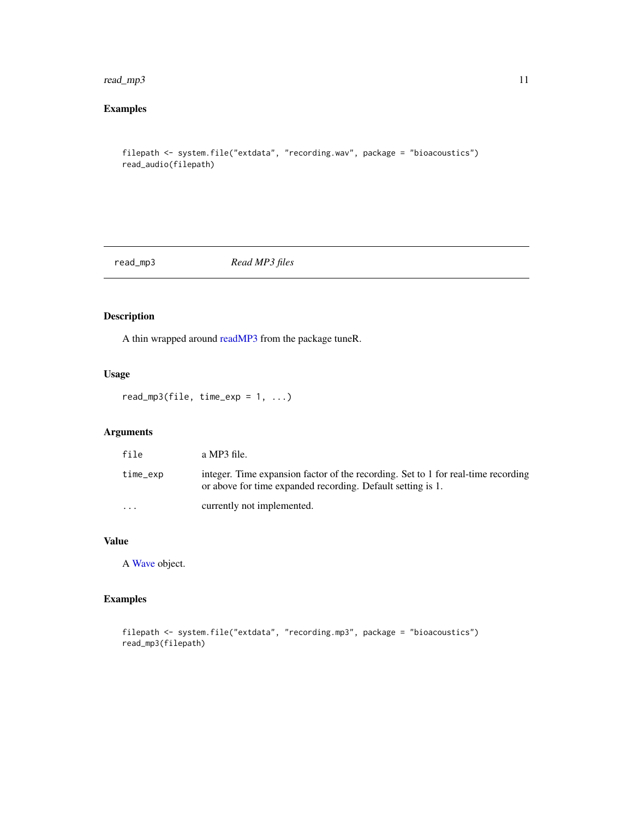#### <span id="page-10-0"></span>read\_mp3 11

# Examples

```
filepath <- system.file("extdata", "recording.wav", package = "bioacoustics")
read_audio(filepath)
```
read\_mp3 *Read MP3 files*

# Description

A thin wrapped around [readMP3](#page-0-0) from the package tuneR.

# Usage

 $read_mpg(file, time\_exp = 1, ...)$ 

# Arguments

| file     | a MP3 file.                                                                                                                                      |
|----------|--------------------------------------------------------------------------------------------------------------------------------------------------|
| time_exp | integer. Time expansion factor of the recording. Set to 1 for real-time recording<br>or above for time expanded recording. Default setting is 1. |
| $\cdots$ | currently not implemented.                                                                                                                       |

# Value

A [Wave](#page-0-0) object.

# Examples

```
filepath <- system.file("extdata", "recording.mp3", package = "bioacoustics")
read_mp3(filepath)
```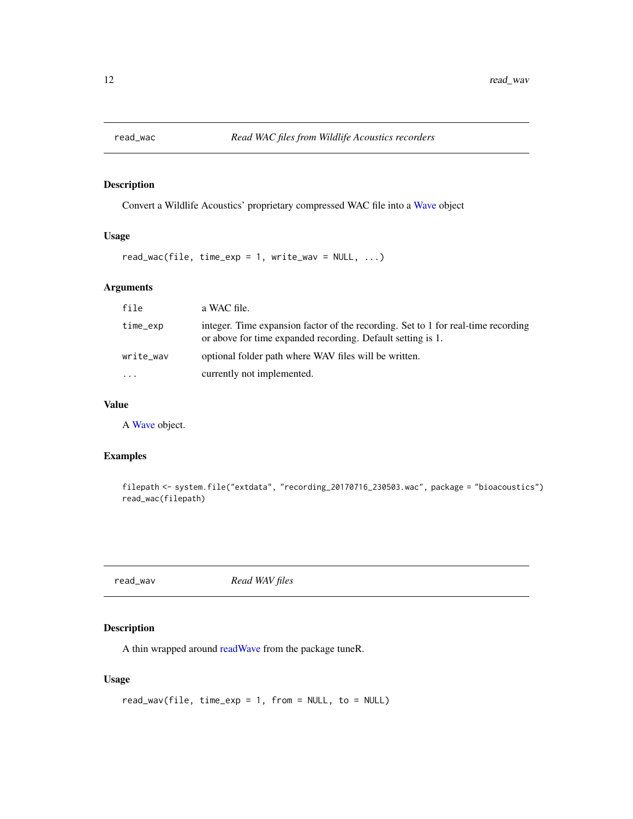<span id="page-11-0"></span>

Convert a Wildlife Acoustics' proprietary compressed WAC file into a [Wave](#page-0-0) object

# Usage

 $read_wac(file, time\_exp = 1, write_wav = NULL, ...)$ 

# Arguments

| file      | a WAC file.                                                                                                                                      |
|-----------|--------------------------------------------------------------------------------------------------------------------------------------------------|
| time_exp  | integer. Time expansion factor of the recording. Set to 1 for real-time recording<br>or above for time expanded recording. Default setting is 1. |
| write_wav | optional folder path where WAV files will be written.                                                                                            |
| $\ddots$  | currently not implemented.                                                                                                                       |

# Value

A [Wave](#page-0-0) object.

## Examples

```
filepath <- system.file("extdata", "recording_20170716_230503.wac", package = "bioacoustics")
read_wac(filepath)
```

| read wav |  |
|----------|--|
|----------|--|

read\_wav *Read WAV files*

#### Description

A thin wrapped around [readWave](#page-0-0) from the package tuneR.

#### Usage

```
read_wav(file, time_exp = 1, from = NULL, to = NULL)
```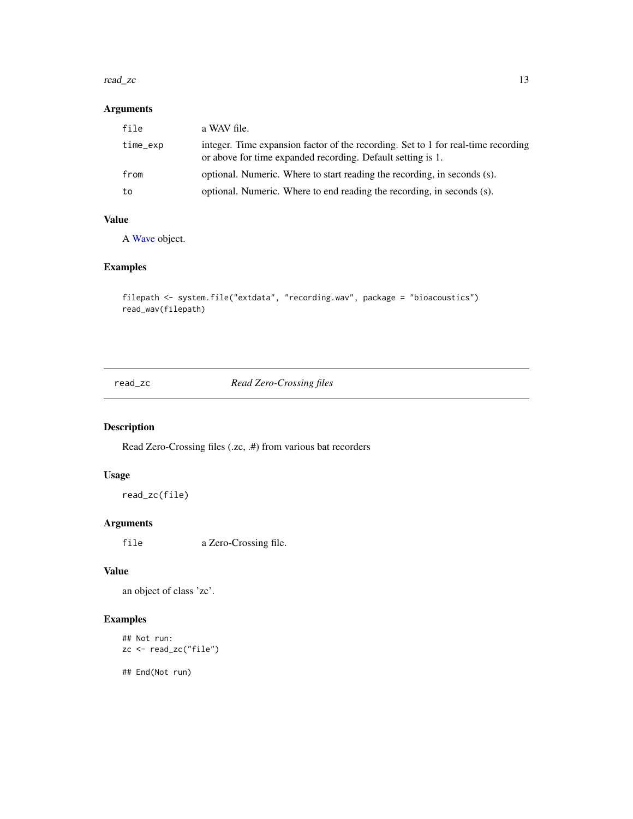#### <span id="page-12-0"></span>read\_zc 13

# Arguments

| file     | a WAV file.                                                                                                                                      |
|----------|--------------------------------------------------------------------------------------------------------------------------------------------------|
| time_exp | integer. Time expansion factor of the recording. Set to 1 for real-time recording<br>or above for time expanded recording. Default setting is 1. |
| from     | optional. Numeric. Where to start reading the recording, in seconds (s).                                                                         |
| to       | optional. Numeric. Where to end reading the recording, in seconds (s).                                                                           |

## Value

A [Wave](#page-0-0) object.

# Examples

```
filepath <- system.file("extdata", "recording.wav", package = "bioacoustics")
read_wav(filepath)
```
read\_zc *Read Zero-Crossing files*

# Description

Read Zero-Crossing files (.zc, .#) from various bat recorders

#### Usage

read\_zc(file)

# Arguments

file a Zero-Crossing file.

# Value

an object of class 'zc'.

# Examples

## Not run: zc <- read\_zc("file")

## End(Not run)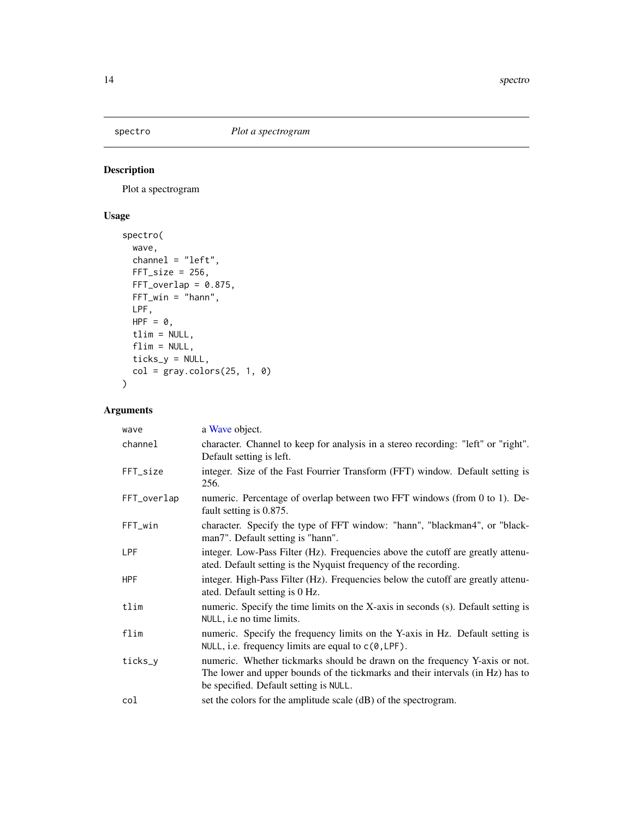<span id="page-13-0"></span>

Plot a spectrogram

# Usage

```
spectro(
 wave,
 channel = "left",
 FFT\_size = 256,
 FFT_overlap = 0.875,FFT\_win = "hann",LPF,
 HPF = 0,
 tlim = NULL,
 flim = NULL,
 ticks_y = NULL,
 col = graycolors(25, 1, 0)\mathcal{L}
```

| wave        | a Wave object.                                                                                                                                                                                         |
|-------------|--------------------------------------------------------------------------------------------------------------------------------------------------------------------------------------------------------|
| channel     | character. Channel to keep for analysis in a stereo recording: "left" or "right".<br>Default setting is left.                                                                                          |
| FFT_size    | integer. Size of the Fast Fourrier Transform (FFT) window. Default setting is<br>256.                                                                                                                  |
| FFT_overlap | numeric. Percentage of overlap between two FFT windows (from 0 to 1). De-<br>fault setting is 0.875.                                                                                                   |
| FFT_win     | character. Specify the type of FFT window: "hann", "blackman4", or "black-<br>man7". Default setting is "hann".                                                                                        |
| <b>LPF</b>  | integer. Low-Pass Filter (Hz). Frequencies above the cutoff are greatly attenu-<br>ated. Default setting is the Nyquist frequency of the recording.                                                    |
| <b>HPF</b>  | integer. High-Pass Filter (Hz). Frequencies below the cutoff are greatly attenu-<br>ated. Default setting is 0 Hz.                                                                                     |
| tlim        | numeric. Specify the time limits on the X-axis in seconds (s). Default setting is<br>NULL, i.e no time limits.                                                                                         |
| flim        | numeric. Specify the frequency limits on the Y-axis in Hz. Default setting is<br>NULL, i.e. frequency limits are equal to $c(0, LPF)$ .                                                                |
| ticks_y     | numeric. Whether tickmarks should be drawn on the frequency Y-axis or not.<br>The lower and upper bounds of the tickmarks and their intervals (in Hz) has to<br>be specified. Default setting is NULL. |
| col         | set the colors for the amplitude scale (dB) of the spectrogram.                                                                                                                                        |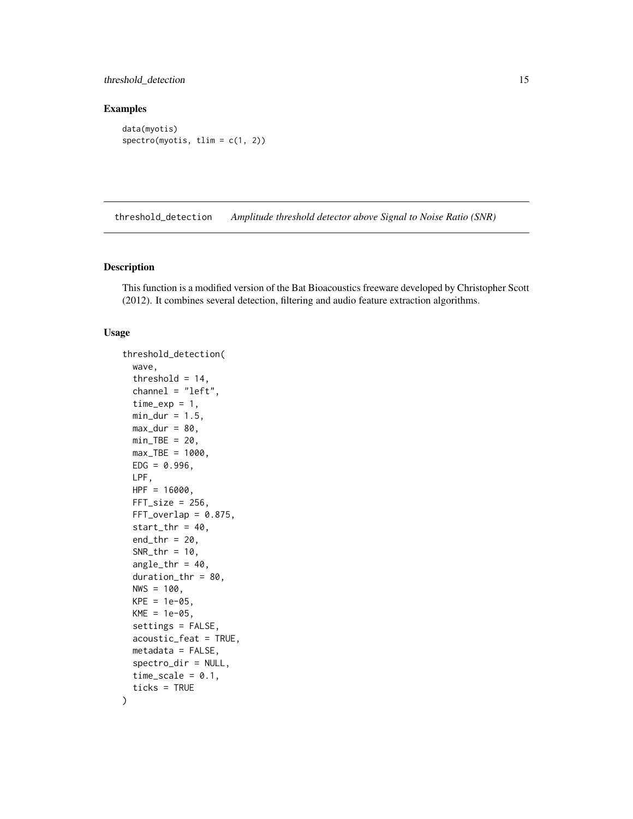# <span id="page-14-0"></span>threshold\_detection 15

# Examples

data(myotis) spectro(myotis, tlim = c(1, 2))

threshold\_detection *Amplitude threshold detector above Signal to Noise Ratio (SNR)*

#### Description

This function is a modified version of the Bat Bioacoustics freeware developed by Christopher Scott (2012). It combines several detection, filtering and audio feature extraction algorithms.

#### Usage

```
threshold_detection(
 wave,
  threshold = 14,
  channel = "left",
  time\_exp = 1,
 min\_dur = 1.5,
 max_dur = 80,
 min_TBE = 20,
 max_TBE = 1000,
 EDG = 0.996,
 LPF,
 HPF = 16000,FFT\_size = 256,
 FFT_overlap = 0.875,start_{thr} = 40,
  end_{thr} = 20,
  SNR_thr = 10,
  angle_thr = 40,
  duration_thr = 80,
 NWS = 100,
 KPE = 1e-05,
 KME = 1e-05,
  settings = FALSE,
  acoustic_feat = TRUE,
 metadata = FALSE,
  spectro_dir = NULL,
  time_scale = 0.1,
  ticks = TRUE
)
```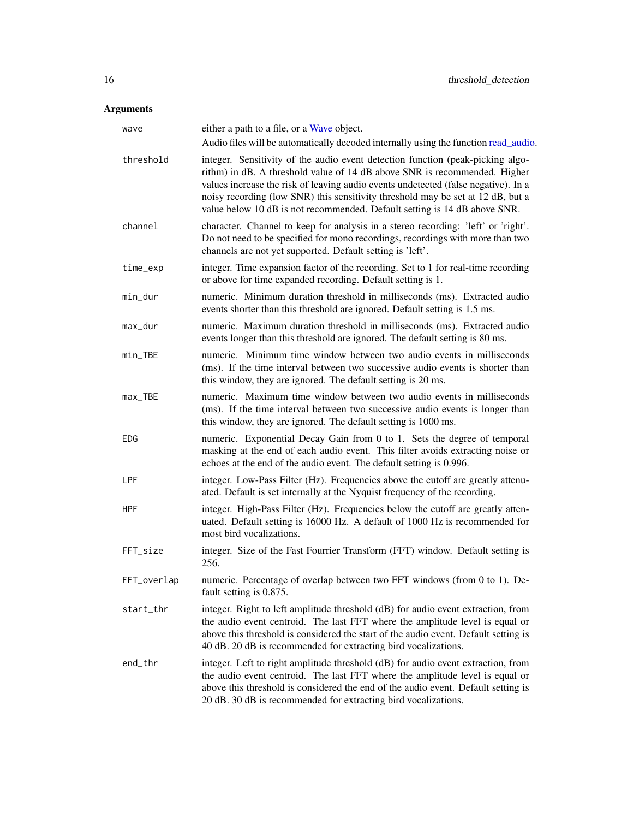<span id="page-15-0"></span>

| wave          | either a path to a file, or a Wave object.<br>Audio files will be automatically decoded internally using the function read_audio.                                                                                                                                                                                                                                                                                 |
|---------------|-------------------------------------------------------------------------------------------------------------------------------------------------------------------------------------------------------------------------------------------------------------------------------------------------------------------------------------------------------------------------------------------------------------------|
| threshold     | integer. Sensitivity of the audio event detection function (peak-picking algo-<br>rithm) in dB. A threshold value of 14 dB above SNR is recommended. Higher<br>values increase the risk of leaving audio events undetected (false negative). In a<br>noisy recording (low SNR) this sensitivity threshold may be set at 12 dB, but a<br>value below 10 dB is not recommended. Default setting is 14 dB above SNR. |
| channel       | character. Channel to keep for analysis in a stereo recording: 'left' or 'right'.<br>Do not need to be specified for mono recordings, recordings with more than two<br>channels are not yet supported. Default setting is 'left'.                                                                                                                                                                                 |
| time_exp      | integer. Time expansion factor of the recording. Set to 1 for real-time recording<br>or above for time expanded recording. Default setting is 1.                                                                                                                                                                                                                                                                  |
| min_dur       | numeric. Minimum duration threshold in milliseconds (ms). Extracted audio<br>events shorter than this threshold are ignored. Default setting is 1.5 ms.                                                                                                                                                                                                                                                           |
| max_dur       | numeric. Maximum duration threshold in milliseconds (ms). Extracted audio<br>events longer than this threshold are ignored. The default setting is 80 ms.                                                                                                                                                                                                                                                         |
| $min$ $-$ TBE | numeric. Minimum time window between two audio events in milliseconds<br>(ms). If the time interval between two successive audio events is shorter than<br>this window, they are ignored. The default setting is 20 ms.                                                                                                                                                                                           |
| max_TBE       | numeric. Maximum time window between two audio events in milliseconds<br>(ms). If the time interval between two successive audio events is longer than<br>this window, they are ignored. The default setting is 1000 ms.                                                                                                                                                                                          |
| EDG           | numeric. Exponential Decay Gain from 0 to 1. Sets the degree of temporal<br>masking at the end of each audio event. This filter avoids extracting noise or<br>echoes at the end of the audio event. The default setting is 0.996.                                                                                                                                                                                 |
| LPF           | integer. Low-Pass Filter (Hz). Frequencies above the cutoff are greatly attenu-<br>ated. Default is set internally at the Nyquist frequency of the recording.                                                                                                                                                                                                                                                     |
| <b>HPF</b>    | integer. High-Pass Filter (Hz). Frequencies below the cutoff are greatly atten-<br>uated. Default setting is 16000 Hz. A default of 1000 Hz is recommended for<br>most bird vocalizations.                                                                                                                                                                                                                        |
| FFT_size      | integer. Size of the Fast Fourrier Transform (FFT) window. Default setting is<br>256.                                                                                                                                                                                                                                                                                                                             |
| FFT_overlap   | numeric. Percentage of overlap between two FFT windows (from 0 to 1). De-<br>fault setting is 0.875.                                                                                                                                                                                                                                                                                                              |
| start_thr     | integer. Right to left amplitude threshold (dB) for audio event extraction, from<br>the audio event centroid. The last FFT where the amplitude level is equal or<br>above this threshold is considered the start of the audio event. Default setting is<br>40 dB. 20 dB is recommended for extracting bird vocalizations.                                                                                         |
| end_thr       | integer. Left to right amplitude threshold (dB) for audio event extraction, from<br>the audio event centroid. The last FFT where the amplitude level is equal or<br>above this threshold is considered the end of the audio event. Default setting is<br>20 dB. 30 dB is recommended for extracting bird vocalizations.                                                                                           |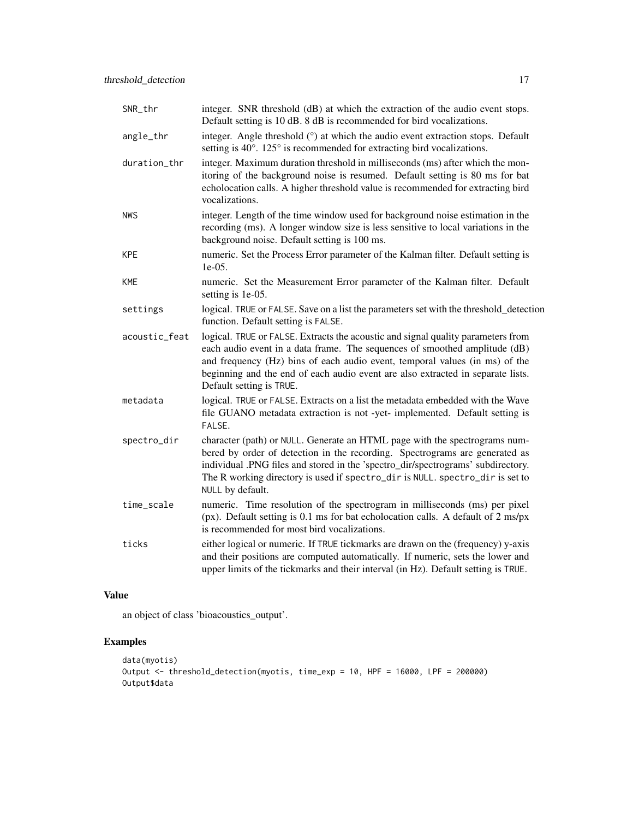| SNR_thr       | integer. SNR threshold (dB) at which the extraction of the audio event stops.<br>Default setting is 10 dB. 8 dB is recommended for bird vocalizations.                                                                                                                                                                                                       |
|---------------|--------------------------------------------------------------------------------------------------------------------------------------------------------------------------------------------------------------------------------------------------------------------------------------------------------------------------------------------------------------|
| angle_thr     | integer. Angle threshold (°) at which the audio event extraction stops. Default<br>setting is 40°. 125° is recommended for extracting bird vocalizations.                                                                                                                                                                                                    |
| duration_thr  | integer. Maximum duration threshold in milliseconds (ms) after which the mon-<br>itoring of the background noise is resumed. Default setting is 80 ms for bat<br>echolocation calls. A higher threshold value is recommended for extracting bird<br>vocalizations.                                                                                           |
| <b>NWS</b>    | integer. Length of the time window used for background noise estimation in the<br>recording (ms). A longer window size is less sensitive to local variations in the<br>background noise. Default setting is 100 ms.                                                                                                                                          |
| <b>KPE</b>    | numeric. Set the Process Error parameter of the Kalman filter. Default setting is<br>1e-05.                                                                                                                                                                                                                                                                  |
| <b>KME</b>    | numeric. Set the Measurement Error parameter of the Kalman filter. Default<br>setting is 1e-05.                                                                                                                                                                                                                                                              |
| settings      | logical. TRUE or FALSE. Save on a list the parameters set with the threshold_detection<br>function. Default setting is FALSE.                                                                                                                                                                                                                                |
| acoustic_feat | logical. TRUE or FALSE. Extracts the acoustic and signal quality parameters from<br>each audio event in a data frame. The sequences of smoothed amplitude (dB)<br>and frequency (Hz) bins of each audio event, temporal values (in ms) of the<br>beginning and the end of each audio event are also extracted in separate lists.<br>Default setting is TRUE. |
| metadata      | logical. TRUE or FALSE. Extracts on a list the metadata embedded with the Wave<br>file GUANO metadata extraction is not -yet- implemented. Default setting is<br>FALSE.                                                                                                                                                                                      |
| spectro_dir   | character (path) or NULL. Generate an HTML page with the spectrograms num-<br>bered by order of detection in the recording. Spectrograms are generated as<br>individual .PNG files and stored in the 'spectro_dir/spectrograms' subdirectory.<br>The R working directory is used if spectro_dir is NULL. spectro_dir is set to<br>NULL by default.           |
| time_scale    | numeric. Time resolution of the spectrogram in milliseconds (ms) per pixel<br>(px). Default setting is 0.1 ms for bat echolocation calls. A default of 2 ms/px<br>is recommended for most bird vocalizations.                                                                                                                                                |
| ticks         | either logical or numeric. If TRUE tickmarks are drawn on the (frequency) y-axis<br>and their positions are computed automatically. If numeric, sets the lower and<br>upper limits of the tickmarks and their interval (in Hz). Default setting is TRUE.                                                                                                     |

### Value

an object of class 'bioacoustics\_output'.

# Examples

```
data(myotis)
Output <- threshold_detection(myotis, time_exp = 10, HPF = 16000, LPF = 200000)
Output$data
```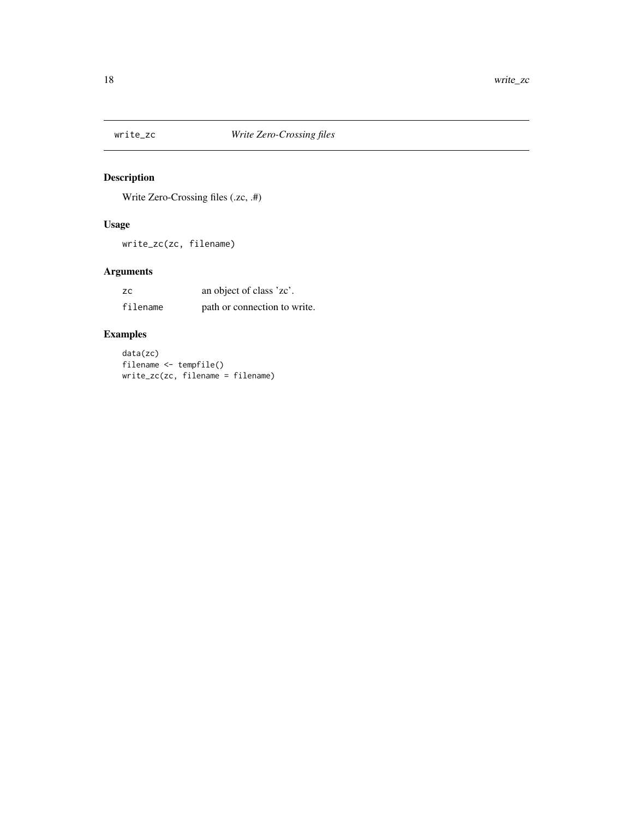<span id="page-17-0"></span>

Write Zero-Crossing files (.zc, .#)

# Usage

write\_zc(zc, filename)

# Arguments

| <b>ZC</b> | an object of class 'zc'.     |
|-----------|------------------------------|
| filename  | path or connection to write. |

# Examples

data(zc) filename <- tempfile()  $write\_zc(zc, filename = filename)$